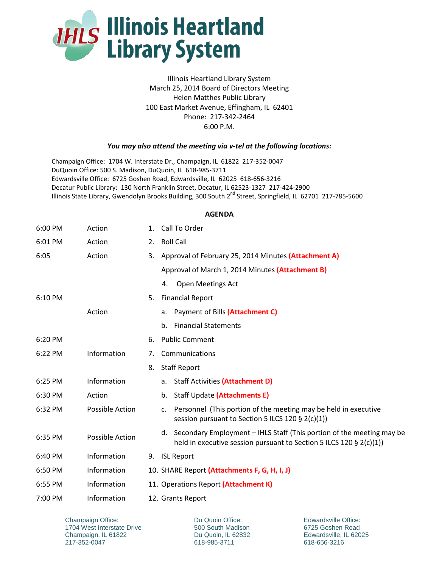

Illinois Heartland Library System March 25, 2014 Board of Directors Meeting Helen Matthes Public Library 100 East Market Avenue, Effingham, IL 62401 Phone: 217-342-2464 6:00 P.M.

## *You may also attend the meeting via v-tel at the following locations:*

Champaign Office: 1704 W. Interstate Dr., Champaign, IL 61822 217-352-0047 DuQuoin Office: 500 S. Madison, DuQuoin, IL 618-985-3711 Edwardsville Office: 6725 Goshen Road, Edwardsville, IL 62025 618-656-3216 Decatur Public Library: 130 North Franklin Street, Decatur, IL 62523-1327 217-424-2900 Illinois State Library, Gwendolyn Brooks Building, 300 South 2<sup>nd</sup> Street, Springfield, IL 62701 217-785-5600

## **AGENDA**

| 6:00 PM | Action          | 1. | Call To Order                                                                                                                                   |
|---------|-----------------|----|-------------------------------------------------------------------------------------------------------------------------------------------------|
| 6:01 PM | Action          | 2. | <b>Roll Call</b>                                                                                                                                |
| 6:05    | Action          | 3. | Approval of February 25, 2014 Minutes (Attachment A)                                                                                            |
|         |                 |    | Approval of March 1, 2014 Minutes (Attachment B)                                                                                                |
|         |                 |    | <b>Open Meetings Act</b><br>4.                                                                                                                  |
| 6:10 PM |                 | 5. | <b>Financial Report</b>                                                                                                                         |
|         | Action          |    | Payment of Bills (Attachment C)<br>a.                                                                                                           |
|         |                 |    | <b>Financial Statements</b><br>b.                                                                                                               |
| 6:20 PM |                 | 6. | <b>Public Comment</b>                                                                                                                           |
| 6:22 PM | Information     | 7. | Communications                                                                                                                                  |
|         |                 | 8. | <b>Staff Report</b>                                                                                                                             |
| 6:25 PM | Information     |    | <b>Staff Activities (Attachment D)</b><br>a.                                                                                                    |
| 6:30 PM | Action          |    | Staff Update (Attachments E)<br>b.                                                                                                              |
| 6:32 PM | Possible Action |    | Personnel (This portion of the meeting may be held in executive<br>$\mathsf{C}$ .<br>session pursuant to Section 5 ILCS 120 § 2(c)(1))          |
| 6:35 PM | Possible Action |    | d. Secondary Employment - IHLS Staff (This portion of the meeting may be<br>held in executive session pursuant to Section 5 ILCS 120 § 2(c)(1)) |
| 6:40 PM | Information     | 9. | <b>ISL Report</b>                                                                                                                               |
| 6:50 PM | Information     |    | 10. SHARE Report (Attachments F, G, H, I, J)                                                                                                    |
| 6:55 PM | Information     |    | 11. Operations Report (Attachment K)                                                                                                            |
| 7:00 PM | Information     |    | 12. Grants Report                                                                                                                               |

Champaign Office: 1704 West Interstate Drive Champaign, IL 61822 217-352-0047

Du Quoin Office: 500 South Madison Du Quoin, IL 62832 618-985-3711

Edwardsville Office: 6725 Goshen Road Edwardsville, IL 62025 618-656-3216